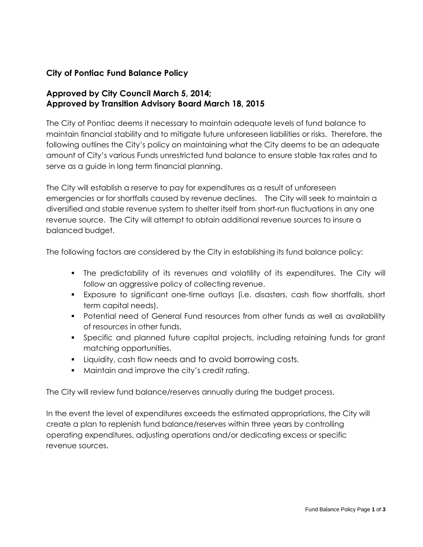# **City of Pontiac Fund Balance Policy**

# **Approved by City Council March 5, 2014; Approved by Transition Advisory Board March 18, 2015**

The City of Pontiac deems it necessary to maintain adequate levels of fund balance to maintain financial stability and to mitigate future unforeseen liabilities or risks. Therefore, the following outlines the City's policy on maintaining what the City deems to be an adequate amount of City's various Funds unrestricted fund balance to ensure stable tax rates and to serve as a guide in long term financial planning.

The City will establish a reserve to pay for expenditures as a result of unforeseen emergencies or for shortfalls caused by revenue declines. The City will seek to maintain a diversified and stable revenue system to shelter itself from short-run fluctuations in any one revenue source. The City will attempt to obtain additional revenue sources to insure a balanced budget.

The following factors are considered by the City in establishing its fund balance policy:

- The predictability of its revenues and volatility of its expenditures. The City will follow an aggressive policy of collecting revenue.
- Exposure to significant one-time outlays (i.e. disasters, cash flow shortfalls, short term capital needs).
- Potential need of General Fund resources from other funds as well as availability of resources in other funds.
- Specific and planned future capital projects, including retaining funds for grant matching opportunities.
- Liquidity, cash flow needs and to avoid borrowing costs.
- **Maintain and improve the city's credit rating.**

The City will review fund balance/reserves annually during the budget process.

In the event the level of expenditures exceeds the estimated appropriations, the City will create a plan to replenish fund balance/reserves within three years by controlling operating expenditures, adjusting operations and/or dedicating excess or specific revenue sources.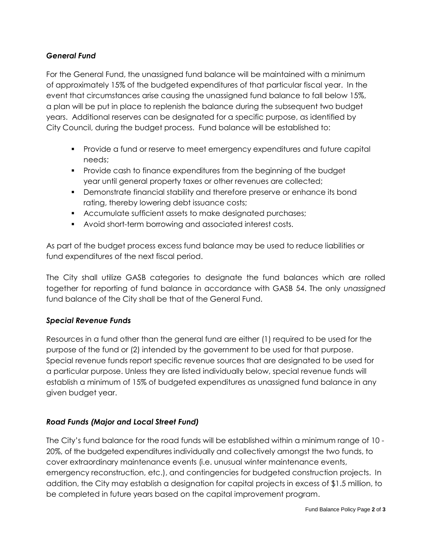## *General Fund*

For the General Fund, the unassigned fund balance will be maintained with a minimum of approximately 15% of the budgeted expenditures of that particular fiscal year. In the event that circumstances arise causing the unassigned fund balance to fall below 15%, a plan will be put in place to replenish the balance during the subsequent two budget years. Additional reserves can be designated for a specific purpose, as identified by City Council, during the budget process. Fund balance will be established to:

- Provide a fund or reserve to meet emergency expenditures and future capital needs;
- **Provide cash to finance expenditures from the beginning of the budget** year until general property taxes or other revenues are collected;
- Demonstrate financial stability and therefore preserve or enhance its bond rating, thereby lowering debt issuance costs;
- Accumulate sufficient assets to make designated purchases;
- Avoid short-term borrowing and associated interest costs.

As part of the budget process excess fund balance may be used to reduce liabilities or fund expenditures of the next fiscal period.

The City shall utilize GASB categories to designate the fund balances which are rolled together for reporting of fund balance in accordance with GASB 54. The only *unassigned*  fund balance of the City shall be that of the General Fund.

### *Special Revenue Funds*

Resources in a fund other than the general fund are either (1) required to be used for the purpose of the fund or (2) intended by the government to be used for that purpose. Special revenue funds report specific revenue sources that are designated to be used for a particular purpose. Unless they are listed individually below, special revenue funds will establish a minimum of 15% of budgeted expenditures as unassigned fund balance in any given budget year.

### *Road Funds (Major and Local Street Fund)*

The City's fund balance for the road funds will be established within a minimum range of 10 - 20%, of the budgeted expenditures individually and collectively amongst the two funds, to cover extraordinary maintenance events (i.e. unusual winter maintenance events, emergency reconstruction, etc.), and contingencies for budgeted construction projects. In addition, the City may establish a designation for capital projects in excess of \$1.5 million, to be completed in future years based on the capital improvement program.